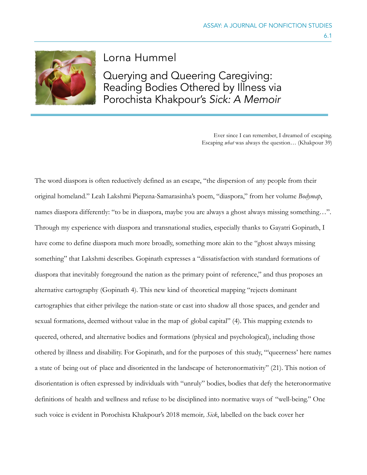

Lorna Hummel

Querying and Queering Caregiving: Reading Bodies Othered by Illness via Porochista Khakpour's *Sick: A Memoir* 

> Ever since I can remember, I dreamed of escaping. Escaping *what* was always the question… (Khakpour 39)

The word diaspora is often reductively defined as an escape, "the dispersion of any people from their original homeland." Leah Lakshmi Piepzna-Samarasinha's poem, "diaspora," from her volume *Bodymap*, names diaspora differently: "to be in diaspora, maybe you are always a ghost always missing something...". Through my experience with diaspora and transnational studies, especially thanks to Gayatri Gopinath, I have come to define diaspora much more broadly, something more akin to the "ghost always missing something" that Lakshmi describes. Gopinath expresses a "dissatisfaction with standard formations of diaspora that inevitably foreground the nation as the primary point of reference," and thus proposes an alternative cartography (Gopinath 4). This new kind of theoretical mapping "rejects dominant cartographies that either privilege the nation-state or cast into shadow all those spaces, and gender and sexual formations, deemed without value in the map of global capital" (4). This mapping extends to queered, othered, and alternative bodies and formations (physical and psychological), including those othered by illness and disability. For Gopinath, and for the purposes of this study, "'queerness' here names a state of being out of place and disoriented in the landscape of heteronormativity" (21). This notion of disorientation is often expressed by individuals with "unruly" bodies, bodies that defy the heteronormative definitions of health and wellness and refuse to be disciplined into normative ways of "well-being." One such voice is evident in Porochista Khakpour's 2018 memoir*, Sick*, labelled on the back cover her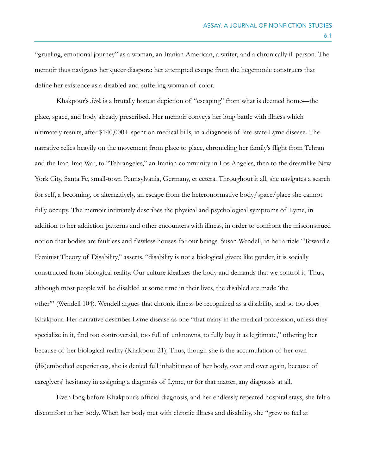"grueling, emotional journey" as a woman, an Iranian American, a writer, and a chronically ill person. The memoir thus navigates her queer diaspora: her attempted escape from the hegemonic constructs that define her existence as a disabled-and-suffering woman of color.

Khakpour's *Sick* is a brutally honest depiction of "escaping" from what is deemed home—the place, space, and body already prescribed. Her memoir conveys her long battle with illness which ultimately results, after \$140,000+ spent on medical bills, in a diagnosis of late-state Lyme disease. The narrative relies heavily on the movement from place to place, chronicling her family's flight from Tehran and the Iran-Iraq War, to "Tehrangeles," an Iranian community in Los Angeles, then to the dreamlike New York City, Santa Fe, small-town Pennsylvania, Germany, et cetera. Throughout it all, she navigates a search for self, a becoming, or alternatively, an escape from the heteronormative body/space/place she cannot fully occupy. The memoir intimately describes the physical and psychological symptoms of Lyme, in addition to her addiction patterns and other encounters with illness, in order to confront the misconstrued notion that bodies are faultless and flawless houses for our beings. Susan Wendell, in her article "Toward a Feminist Theory of Disability," asserts, "disability is not a biological given; like gender, it is socially constructed from biological reality. Our culture idealizes the body and demands that we control it. Thus, although most people will be disabled at some time in their lives, the disabled are made 'the other'" (Wendell 104). Wendell argues that chronic illness be recognized as a disability, and so too does Khakpour. Her narrative describes Lyme disease as one "that many in the medical profession, unless they specialize in it, find too controversial, too full of unknowns, to fully buy it as legitimate," othering her because of her biological reality (Khakpour 21). Thus, though she is the accumulation of her own (dis)embodied experiences, she is denied full inhabitance of her body, over and over again, because of caregivers' hesitancy in assigning a diagnosis of Lyme, or for that matter, any diagnosis at all.

Even long before Khakpour's official diagnosis, and her endlessly repeated hospital stays, she felt a discomfort in her body. When her body met with chronic illness and disability, she "grew to feel at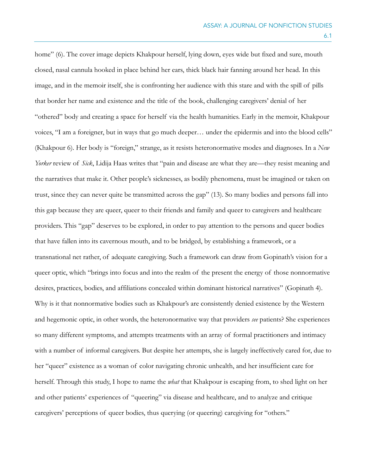home" (6). The cover image depicts Khakpour herself, lying down, eyes wide but fixed and sure, mouth closed, nasal cannula hooked in place behind her ears, thick black hair fanning around her head. In this image, and in the memoir itself, she is confronting her audience with this stare and with the spill of pills that border her name and existence and the title of the book, challenging caregivers' denial of her "othered" body and creating a space for herself via the health humanities. Early in the memoir, Khakpour voices, "I am a foreigner, but in ways that go much deeper… under the epidermis and into the blood cells" (Khakpour 6). Her body is "foreign," strange, as it resists heteronormative modes and diagnoses. In a *New Yorker* review of *Sick*, Lidija Haas writes that "pain and disease are what they are—they resist meaning and the narratives that make it. Other people's sicknesses, as bodily phenomena, must be imagined or taken on trust, since they can never quite be transmitted across the gap" (13). So many bodies and persons fall into this gap because they are queer, queer to their friends and family and queer to caregivers and healthcare providers. This "gap" deserves to be explored, in order to pay attention to the persons and queer bodies that have fallen into its cavernous mouth, and to be bridged, by establishing a framework, or a transnational net rather, of adequate caregiving. Such a framework can draw from Gopinath's vision for a queer optic, which "brings into focus and into the realm of the present the energy of those nonnormative desires, practices, bodies, and affiliations concealed within dominant historical narratives" (Gopinath 4). Why is it that nonnormative bodies such as Khakpour's are consistently denied existence by the Western and hegemonic optic, in other words, the heteronormative way that providers *see* patients? She experiences so many different symptoms, and attempts treatments with an array of formal practitioners and intimacy with a number of informal caregivers. But despite her attempts, she is largely ineffectively cared for, due to her "queer" existence as a woman of color navigating chronic unhealth, and her insufficient care for herself. Through this study, I hope to name the *what* that Khakpour is escaping from, to shed light on her and other patients' experiences of "queering" via disease and healthcare, and to analyze and critique caregivers' perceptions of queer bodies, thus querying (or queering) caregiving for "others."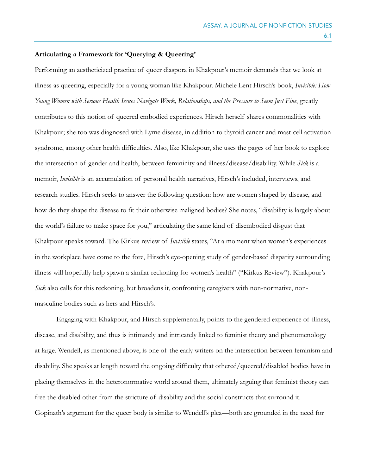## **Articulating a Framework for 'Querying & Queering'**

Performing an aestheticized practice of queer diaspora in Khakpour's memoir demands that we look at illness as queering, especially for a young woman like Khakpour. Michele Lent Hirsch's book, *Invisible: How Young Women with Serious Health Issues Navigate Work, Relationships, and the Pressure to Seem Just Fine*, greatly contributes to this notion of queered embodied experiences. Hirsch herself shares commonalities with Khakpour; she too was diagnosed with Lyme disease, in addition to thyroid cancer and mast-cell activation syndrome, among other health difficulties. Also, like Khakpour, she uses the pages of her book to explore the intersection of gender and health, between femininity and illness/disease/disability. While *Sick* is a memoir, *Invisible* is an accumulation of personal health narratives, Hirsch's included, interviews, and research studies. Hirsch seeks to answer the following question: how are women shaped by disease, and how do they shape the disease to fit their otherwise maligned bodies? She notes, "disability is largely about the world's failure to make space for you," articulating the same kind of disembodied disgust that Khakpour speaks toward. The Kirkus review of *Invisible* states, "At a moment when women's experiences in the workplace have come to the fore, Hirsch's eye-opening study of gender-based disparity surrounding illness will hopefully help spawn a similar reckoning for women's health" ("Kirkus Review"). Khakpour's *Sick* also calls for this reckoning, but broadens it, confronting caregivers with non-normative, nonmasculine bodies such as hers and Hirsch's.

Engaging with Khakpour, and Hirsch supplementally, points to the gendered experience of illness, disease, and disability, and thus is intimately and intricately linked to feminist theory and phenomenology at large. Wendell, as mentioned above, is one of the early writers on the intersection between feminism and disability. She speaks at length toward the ongoing difficulty that othered/queered/disabled bodies have in placing themselves in the heteronormative world around them, ultimately arguing that feminist theory can free the disabled other from the stricture of disability and the social constructs that surround it. Gopinath's argument for the queer body is similar to Wendell's plea—both are grounded in the need for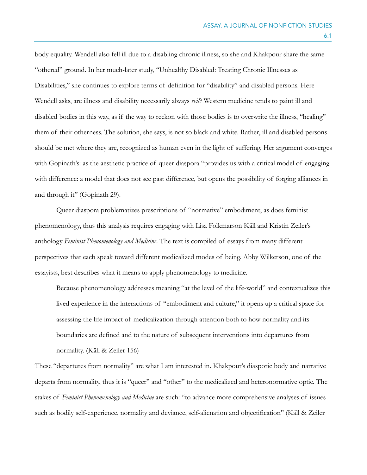body equality. Wendell also fell ill due to a disabling chronic illness, so she and Khakpour share the same "othered" ground. In her much-later study, "Unhealthy Disabled: Treating Chronic Illnesses as Disabilities," she continues to explore terms of definition for "disability" and disabled persons. Here Wendell asks, are illness and disability necessarily always *evil*? Western medicine tends to paint ill and disabled bodies in this way, as if the way to reckon with those bodies is to overwrite the illness, "healing" them of their otherness. The solution, she says, is not so black and white. Rather, ill and disabled persons should be met where they are, recognized as human even in the light of suffering. Her argument converges with Gopinath's: as the aesthetic practice of queer diaspora "provides us with a critical model of engaging with difference: a model that does not see past difference, but opens the possibility of forging alliances in and through it" (Gopinath 29).

Queer diaspora problematizes prescriptions of "normative" embodiment, as does feminist phenomenology, thus this analysis requires engaging with Lisa Folkmarson Käll and Kristin Zeiler's anthology *Feminist Phenomenology and Medicine*. The text is compiled of essays from many different perspectives that each speak toward different medicalized modes of being. Abby Wilkerson, one of the essayists, best describes what it means to apply phenomenology to medicine.

Because phenomenology addresses meaning "at the level of the life-world" and contextualizes this lived experience in the interactions of "embodiment and culture," it opens up a critical space for assessing the life impact of medicalization through attention both to how normality and its boundaries are defined and to the nature of subsequent interventions into departures from normality. (Käll & Zeiler 156)

These "departures from normality" are what I am interested in. Khakpour's diasporic body and narrative departs from normality, thus it is "queer" and "other" to the medicalized and heteronormative optic. The stakes of *Feminist Phenomenology and Medicine* are such: "to advance more comprehensive analyses of issues such as bodily self-experience, normality and deviance, self-alienation and objectification" (Käll & Zeiler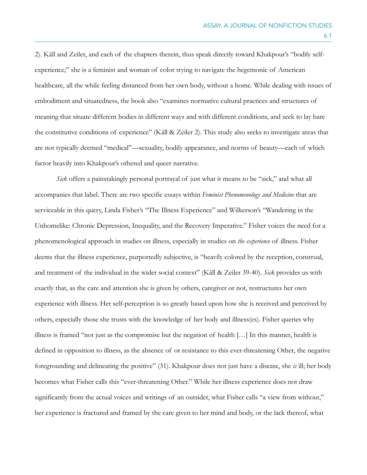2). Käll and Zeiler, and each of the chapters therein, thus speak directly toward Khakpour's "bodily selfexperience;" she is a feminist and woman of color trying to navigate the hegemonic of American healthcare, all the while feeling distanced from her own body, without a home. While dealing with issues of embodiment and situatedness, the book also "examines normative cultural practices and structures of meaning that situate different bodies in different ways and with different conditions, and seek to lay bare the constitutive conditions of experience" (Käll & Zeiler 2). This study also seeks to investigate areas that are not typically deemed "medical"—sexuality, bodily appearance, and norms of beauty—each of which factor heavily into Khakpour's othered and queer narrative.

*Sick* offers a painstakingly personal portrayal of just what it means to be "sick," and what all accompanies that label. There are two specific essays within *Feminist Phenomenology and Medicine* that are serviceable in this query, Linda Fisher's "The Illness Experience" and Wilkerson's "Wandering in the Unhomelike: Chronic Depression, Inequality, and the Recovery Imperative." Fisher voices the need for a phenomenological approach in studies on illness, especially in studies on *the experience* of illness. Fisher deems that the illness experience, purportedly subjective, is "heavily colored by the reception, construal, and treatment of the individual in the wider social context" (Käll & Zeiler 39-40). *Sick* provides us with exactly that, as the care and attention she is given by others, caregiver or not, restructures her own experience with illness. Her self-perception is so greatly based upon how she is received and perceived by others, especially those she trusts with the knowledge of her body and illness(es). Fisher queries why illness is framed "not just as the compromise but the negation of health […] In this manner, health is defined in opposition to illness, as the absence of or resistance to this ever-threatening Other, the negative foregrounding and delineating the positive" (31). Khakpour does not just have a disease, she *is* ill; her body becomes what Fisher calls this "ever-threatening Other." While her illness experience does not draw significantly from the actual voices and writings of an outsider, what Fisher calls "a view from without," her experience is fractured and framed by the care given to her mind and body, or the lack thereof, what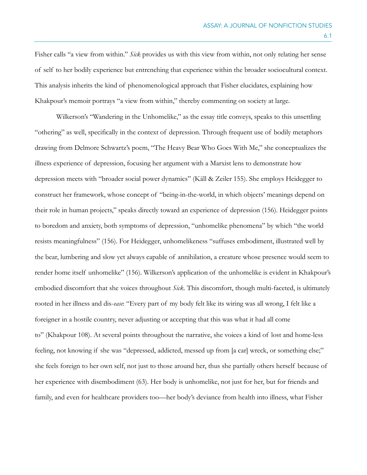Fisher calls "a view from within." *Sick* provides us with this view from within, not only relating her sense of self to her bodily experience but entrenching that experience within the broader sociocultural context. This analysis inherits the kind of phenomenological approach that Fisher elucidates, explaining how Khakpour's memoir portrays "a view from within," thereby commenting on society at large.

Wilkerson's "Wandering in the Unhomelike," as the essay title conveys, speaks to this unsettling "othering" as well, specifically in the context of depression. Through frequent use of bodily metaphors drawing from Delmore Schwartz's poem, "The Heavy Bear Who Goes With Me," she conceptualizes the illness experience of depression, focusing her argument with a Marxist lens to demonstrate how depression meets with "broader social power dynamics" (Käll & Zeiler 155). She employs Heidegger to construct her framework, whose concept of "being-in-the-world, in which objects' meanings depend on their role in human projects," speaks directly toward an experience of depression (156). Heidegger points to boredom and anxiety, both symptoms of depression, "unhomelike phenomena" by which "the world resists meaningfulness" (156). For Heidegger, unhomelikeness "suffuses embodiment, illustrated well by the bear, lumbering and slow yet always capable of annihilation, a creature whose presence would seem to render home itself unhomelike" (156). Wilkerson's application of the unhomelike is evident in Khakpour's embodied discomfort that she voices throughout *Sick*. This discomfort, though multi-faceted, is ultimately rooted in her illness and dis-*ease*: "Every part of my body felt like its wiring was all wrong, I felt like a foreigner in a hostile country, never adjusting or accepting that this was what it had all come to" (Khakpour 108). At several points throughout the narrative, she voices a kind of lost and home-less feeling, not knowing if she was "depressed, addicted, messed up from [a car] wreck, or something else;" she feels foreign to her own self, not just to those around her, thus she partially others herself because of her experience with disembodiment (63). Her body is unhomelike, not just for her, but for friends and family, and even for healthcare providers too—her body's deviance from health into illness, what Fisher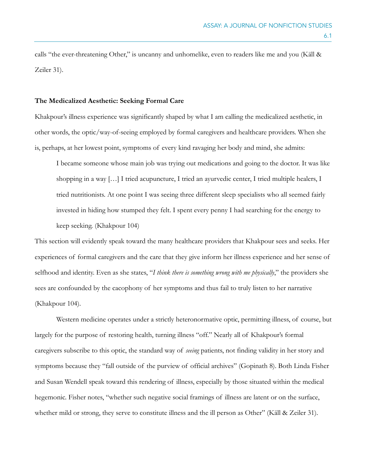calls "the ever-threatening Other," is uncanny and unhomelike, even to readers like me and you (Käll & Zeiler 31).

#### **The Medicalized Aesthetic: Seeking Formal Care**

Khakpour's illness experience was significantly shaped by what I am calling the medicalized aesthetic, in other words, the optic/way-of-seeing employed by formal caregivers and healthcare providers. When she is, perhaps, at her lowest point, symptoms of every kind ravaging her body and mind, she admits:

I became someone whose main job was trying out medications and going to the doctor. It was like shopping in a way […] I tried acupuncture, I tried an ayurvedic center, I tried multiple healers, I tried nutritionists. At one point I was seeing three different sleep specialists who all seemed fairly invested in hiding how stumped they felt. I spent every penny I had searching for the energy to keep seeking. (Khakpour 104)

This section will evidently speak toward the many healthcare providers that Khakpour sees and seeks. Her experiences of formal caregivers and the care that they give inform her illness experience and her sense of selfhood and identity. Even as she states, "*I think there is something wrong with me physically*," the providers she sees are confounded by the cacophony of her symptoms and thus fail to truly listen to her narrative (Khakpour 104).

Western medicine operates under a strictly heteronormative optic, permitting illness, of course, but largely for the purpose of restoring health, turning illness "off." Nearly all of Khakpour's formal caregivers subscribe to this optic, the standard way of *seeing* patients, not finding validity in her story and symptoms because they "fall outside of the purview of official archives" (Gopinath 8). Both Linda Fisher and Susan Wendell speak toward this rendering of illness, especially by those situated within the medical hegemonic. Fisher notes, "whether such negative social framings of illness are latent or on the surface, whether mild or strong, they serve to constitute illness and the ill person as Other" (Käll & Zeiler 31).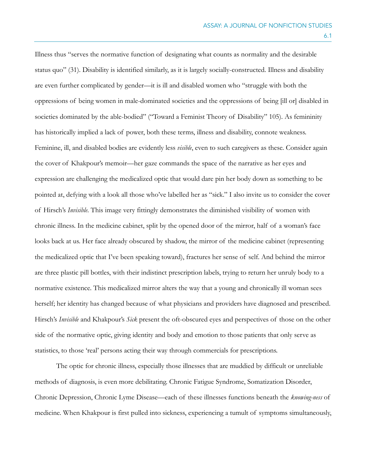Illness thus "serves the normative function of designating what counts as normality and the desirable status quo" (31). Disability is identified similarly, as it is largely socially-constructed. Illness and disability are even further complicated by gender—it is ill and disabled women who "struggle with both the oppressions of being women in male-dominated societies and the oppressions of being [ill or] disabled in societies dominated by the able-bodied" ("Toward a Feminist Theory of Disability" 105). As femininity has historically implied a lack of power, both these terms, illness and disability, connote weakness. Feminine, ill, and disabled bodies are evidently less *visible*, even to such caregivers as these. Consider again the cover of Khakpour's memoir—her gaze commands the space of the narrative as her eyes and expression are challenging the medicalized optic that would dare pin her body down as something to be pointed at, defying with a look all those who've labelled her as "sick." I also invite us to consider the cover of Hirsch's *Invisible*. This image very fittingly demonstrates the diminished visibility of women with chronic illness. In the medicine cabinet, split by the opened door of the mirror, half of a woman's face looks back at us. Her face already obscured by shadow, the mirror of the medicine cabinet (representing the medicalized optic that I've been speaking toward), fractures her sense of self. And behind the mirror are three plastic pill bottles, with their indistinct prescription labels, trying to return her unruly body to a normative existence. This medicalized mirror alters the way that a young and chronically ill woman sees herself; her identity has changed because of what physicians and providers have diagnosed and prescribed. Hirsch's *Invisible* and Khakpour's *Sick* present the oft-obscured eyes and perspectives of those on the other side of the normative optic, giving identity and body and emotion to those patients that only serve as statistics, to those 'real' persons acting their way through commercials for prescriptions.

 The optic for chronic illness, especially those illnesses that are muddied by difficult or unreliable methods of diagnosis, is even more debilitating. Chronic Fatigue Syndrome, Somatization Disorder, Chronic Depression, Chronic Lyme Disease—each of these illnesses functions beneath the *knowing-ness* of medicine. When Khakpour is first pulled into sickness, experiencing a tumult of symptoms simultaneously,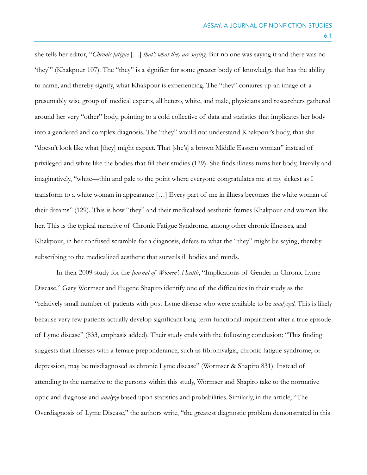she tells her editor, "*Chronic fatigue* […] *that's what they are saying*. But no one was saying it and there was no 'they'" (Khakpour 107). The "they" is a signifier for some greater body of knowledge that has the ability to name, and thereby signify, what Khakpour is experiencing. The "they" conjures up an image of a presumably wise group of medical experts, all hetero, white, and male, physicians and researchers gathered around her very "other" body, pointing to a cold collective of data and statistics that implicates her body into a gendered and complex diagnosis. The "they" would not understand Khakpour's body, that she "doesn't look like what [they] might expect. That [she's] a brown Middle Eastern woman" instead of privileged and white like the bodies that fill their studies (129). She finds illness turns her body, literally and imaginatively, "white—thin and pale to the point where everyone congratulates me at my sickest as I transform to a white woman in appearance […] Every part of me in illness becomes the white woman of their dreams" (129). This is how "they" and their medicalized aesthetic frames Khakpour and women like her. This is the typical narrative of Chronic Fatigue Syndrome, among other chronic illnesses, and Khakpour, in her confused scramble for a diagnosis, defers to what the "they" might be saying, thereby subscribing to the medicalized aesthetic that surveils ill bodies and minds.

In their 2009 study for the *Journal of Women's Health*, "Implications of Gender in Chronic Lyme Disease," Gary Wormser and Eugene Shapiro identify one of the difficulties in their study as the "relatively small number of patients with post-Lyme disease who were available to be *analyzed*. This is likely because very few patients actually develop significant long-term functional impairment after a true episode of Lyme disease" (833, emphasis added). Their study ends with the following conclusion: "This finding suggests that illnesses with a female preponderance, such as fibromyalgia, chronic fatigue syndrome, or depression, may be misdiagnosed as chronic Lyme disease" (Wormser & Shapiro 831). Instead of attending to the narrative to the persons within this study, Wormser and Shapiro take to the normative optic and diagnose and *analyze* based upon statistics and probabilities. Similarly, in the article, "The Overdiagnosis of Lyme Disease," the authors write, "the greatest diagnostic problem demonstrated in this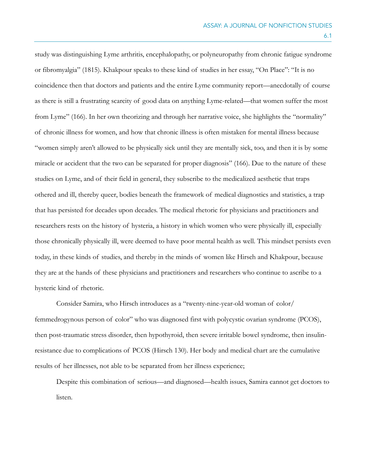study was distinguishing Lyme arthritis, encephalopathy, or polyneuropathy from chronic fatigue syndrome or fibromyalgia" (1815). Khakpour speaks to these kind of studies in her essay, "On Place": "It is no coincidence then that doctors and patients and the entire Lyme community report—anecdotally of course as there is still a frustrating scarcity of good data on anything Lyme-related—that women suffer the most from Lyme" (166). In her own theorizing and through her narrative voice, she highlights the "normality" of chronic illness for women, and how that chronic illness is often mistaken for mental illness because "women simply aren't allowed to be physically sick until they are mentally sick, too, and then it is by some miracle or accident that the two can be separated for proper diagnosis" (166). Due to the nature of these studies on Lyme, and of their field in general, they subscribe to the medicalized aesthetic that traps othered and ill, thereby queer, bodies beneath the framework of medical diagnostics and statistics, a trap that has persisted for decades upon decades. The medical rhetoric for physicians and practitioners and researchers rests on the history of hysteria, a history in which women who were physically ill, especially those chronically physically ill, were deemed to have poor mental health as well. This mindset persists even today, in these kinds of studies, and thereby in the minds of women like Hirsch and Khakpour, because they are at the hands of these physicians and practitioners and researchers who continue to ascribe to a hysteric kind of rhetoric.

Consider Samira, who Hirsch introduces as a "twenty-nine-year-old woman of color/ femmedrogynous person of color" who was diagnosed first with polycystic ovarian syndrome (PCOS), then post-traumatic stress disorder, then hypothyroid, then severe irritable bowel syndrome, then insulinresistance due to complications of PCOS (Hirsch 130). Her body and medical chart are the cumulative results of her illnesses, not able to be separated from her illness experience;

Despite this combination of serious—and diagnosed—health issues, Samira cannot get doctors to listen.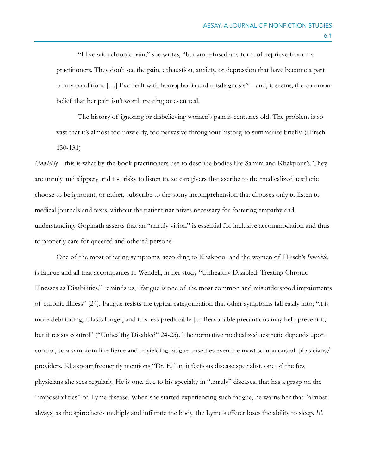"I live with chronic pain," she writes, "but am refused any form of reprieve from my practitioners. They don't see the pain, exhaustion, anxiety, or depression that have become a part of my conditions […] I've dealt with homophobia and misdiagnosis"—and, it seems, the common belief that her pain isn't worth treating or even real.

 The history of ignoring or disbelieving women's pain is centuries old. The problem is so vast that it's almost too unwieldy, too pervasive throughout history, to summarize briefly. (Hirsch 130-131)

*Unwieldy*—this is what by-the-book practitioners use to describe bodies like Samira and Khakpour's. They are unruly and slippery and too risky to listen to, so caregivers that ascribe to the medicalized aesthetic choose to be ignorant, or rather, subscribe to the stony incomprehension that chooses only to listen to medical journals and texts, without the patient narratives necessary for fostering empathy and understanding. Gopinath asserts that an "unruly vision" is essential for inclusive accommodation and thus to properly care for queered and othered persons.

One of the most othering symptoms, according to Khakpour and the women of Hirsch's *Invisible*, is fatigue and all that accompanies it. Wendell, in her study "Unhealthy Disabled: Treating Chronic Illnesses as Disabilities," reminds us, "fatigue is one of the most common and misunderstood impairments of chronic illness" (24). Fatigue resists the typical categorization that other symptoms fall easily into; "it is more debilitating, it lasts longer, and it is less predictable [...] Reasonable precautions may help prevent it, but it resists control" ("Unhealthy Disabled" 24-25). The normative medicalized aesthetic depends upon control, so a symptom like fierce and unyielding fatigue unsettles even the most scrupulous of physicians/ providers. Khakpour frequently mentions "Dr. E," an infectious disease specialist, one of the few physicians she sees regularly. He is one, due to his specialty in "unruly" diseases, that has a grasp on the "impossibilities" of Lyme disease. When she started experiencing such fatigue, he warns her that "almost always, as the spirochetes multiply and infiltrate the body, the Lyme sufferer loses the ability to sleep. *It's*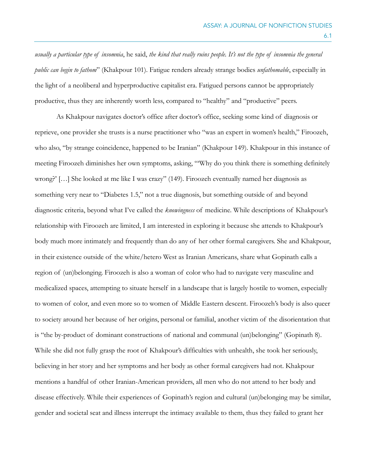*usually a particular type of insomnia*, he said, *the kind that really ruins people. It's not the type of insomnia the general public can begin to fathom*" (Khakpour 101). Fatigue renders already strange bodies *unfathomable*, especially in the light of a neoliberal and hyperproductive capitalist era. Fatigued persons cannot be appropriately productive, thus they are inherently worth less, compared to "healthy" and "productive" peers.

As Khakpour navigates doctor's office after doctor's office, seeking some kind of diagnosis or reprieve, one provider she trusts is a nurse practitioner who "was an expert in women's health," Firoozeh, who also, "by strange coincidence, happened to be Iranian" (Khakpour 149). Khakpour in this instance of meeting Firoozeh diminishes her own symptoms, asking, "'Why do you think there is something definitely wrong?' […] She looked at me like I was crazy" (149). Firoozeh eventually named her diagnosis as something very near to "Diabetes 1.5," not a true diagnosis, but something outside of and beyond diagnostic criteria, beyond what I've called the *knowingness* of medicine. While descriptions of Khakpour's relationship with Firoozeh are limited, I am interested in exploring it because she attends to Khakpour's body much more intimately and frequently than do any of her other formal caregivers. She and Khakpour, in their existence outside of the white/hetero West as Iranian Americans, share what Gopinath calls a region of (un)belonging. Firoozeh is also a woman of color who had to navigate very masculine and medicalized spaces, attempting to situate herself in a landscape that is largely hostile to women, especially to women of color, and even more so to women of Middle Eastern descent. Firoozeh's body is also queer to society around her because of her origins, personal or familial, another victim of the disorientation that is "the by-product of dominant constructions of national and communal (un)belonging" (Gopinath 8). While she did not fully grasp the root of Khakpour's difficulties with unhealth, she took her seriously, believing in her story and her symptoms and her body as other formal caregivers had not. Khakpour mentions a handful of other Iranian-American providers, all men who do not attend to her body and disease effectively. While their experiences of Gopinath's region and cultural (un)belonging may be similar, gender and societal seat and illness interrupt the intimacy available to them, thus they failed to grant her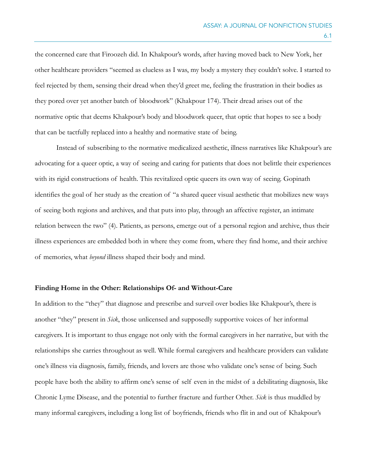the concerned care that Firoozeh did. In Khakpour's words, after having moved back to New York, her other healthcare providers "seemed as clueless as I was, my body a mystery they couldn't solve. I started to feel rejected by them, sensing their dread when they'd greet me, feeling the frustration in their bodies as they pored over yet another batch of bloodwork" (Khakpour 174). Their dread arises out of the normative optic that deems Khakpour's body and bloodwork queer, that optic that hopes to see a body that can be tactfully replaced into a healthy and normative state of being.

Instead of subscribing to the normative medicalized aesthetic, illness narratives like Khakpour's are advocating for a queer optic, a way of seeing and caring for patients that does not belittle their experiences with its rigid constructions of health. This revitalized optic queers its own way of seeing. Gopinath identifies the goal of her study as the creation of "a shared queer visual aesthetic that mobilizes new ways of seeing both regions and archives, and that puts into play, through an affective register, an intimate relation between the two" (4). Patients, as persons, emerge out of a personal region and archive, thus their illness experiences are embedded both in where they come from, where they find home, and their archive of memories, what *beyond* illness shaped their body and mind.

#### **Finding Home in the Other: Relationships Of- and Without-Care**

In addition to the "they" that diagnose and prescribe and surveil over bodies like Khakpour's, there is another "they" present in *Sick*, those unlicensed and supposedly supportive voices of her informal caregivers. It is important to thus engage not only with the formal caregivers in her narrative, but with the relationships she carries throughout as well. While formal caregivers and healthcare providers can validate one's illness via diagnosis, family, friends, and lovers are those who validate one's sense of being. Such people have both the ability to affirm one's sense of self even in the midst of a debilitating diagnosis, like Chronic Lyme Disease, and the potential to further fracture and further Other. *Sick* is thus muddled by many informal caregivers, including a long list of boyfriends, friends who flit in and out of Khakpour's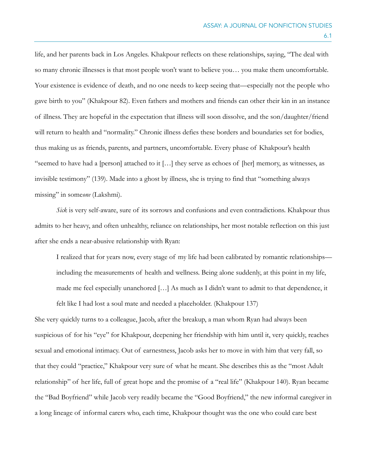life, and her parents back in Los Angeles. Khakpour reflects on these relationships, saying, "The deal with so many chronic illnesses is that most people won't want to believe you… you make them uncomfortable. Your existence is evidence of death, and no one needs to keep seeing that—especially not the people who gave birth to you" (Khakpour 82). Even fathers and mothers and friends can other their kin in an instance of illness. They are hopeful in the expectation that illness will soon dissolve, and the son/daughter/friend will return to health and "normality." Chronic illness defies these borders and boundaries set for bodies, thus making us as friends, parents, and partners, uncomfortable. Every phase of Khakpour's health "seemed to have had a [person] attached to it […] they serve as echoes of [her] memory, as witnesses, as invisible testimony" (139). Made into a ghost by illness, she is trying to find that "something always missing" in some*one* (Lakshmi).

*Sick* is very self-aware, sure of its sorrows and confusions and even contradictions. Khakpour thus admits to her heavy, and often unhealthy, reliance on relationships, her most notable reflection on this just after she ends a near-abusive relationship with Ryan:

I realized that for years now, every stage of my life had been calibrated by romantic relationships including the measurements of health and wellness. Being alone suddenly, at this point in my life, made me feel especially unanchored […] As much as I didn't want to admit to that dependence, it

felt like I had lost a soul mate and needed a placeholder. (Khakpour 137)

She very quickly turns to a colleague, Jacob, after the breakup, a man whom Ryan had always been suspicious of for his "eye" for Khakpour, deepening her friendship with him until it, very quickly, reaches sexual and emotional intimacy. Out of earnestness, Jacob asks her to move in with him that very fall, so that they could "practice," Khakpour very sure of what he meant. She describes this as the "most Adult relationship" of her life, full of great hope and the promise of a "real life" (Khakpour 140). Ryan became the "Bad Boyfriend" while Jacob very readily became the "Good Boyfriend," the new informal caregiver in a long lineage of informal carers who, each time, Khakpour thought was the one who could care best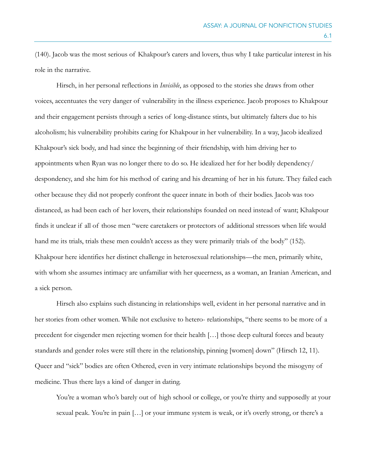(140). Jacob was the most serious of Khakpour's carers and lovers, thus why I take particular interest in his role in the narrative.

Hirsch, in her personal reflections in *Invisible*, as opposed to the stories she draws from other voices, accentuates the very danger of vulnerability in the illness experience. Jacob proposes to Khakpour and their engagement persists through a series of long-distance stints, but ultimately falters due to his alcoholism; his vulnerability prohibits caring for Khakpour in her vulnerability. In a way, Jacob idealized Khakpour's sick body, and had since the beginning of their friendship, with him driving her to appointments when Ryan was no longer there to do so. He idealized her for her bodily dependency/ despondency, and she him for his method of caring and his dreaming of her in his future. They failed each other because they did not properly confront the queer innate in both of their bodies. Jacob was too distanced, as had been each of her lovers, their relationships founded on need instead of want; Khakpour finds it unclear if all of those men "were caretakers or protectors of additional stressors when life would hand me its trials, trials these men couldn't access as they were primarily trials of the body" (152). Khakpour here identifies her distinct challenge in heterosexual relationships—the men, primarily white, with whom she assumes intimacy are unfamiliar with her queerness, as a woman, an Iranian American, and a sick person.

 Hirsch also explains such distancing in relationships well, evident in her personal narrative and in her stories from other women. While not exclusive to hetero- relationships, "there seems to be more of a precedent for cisgender men rejecting women for their health […] those deep cultural forces and beauty standards and gender roles were still there in the relationship, pinning [women] down" (Hirsch 12, 11). Queer and "sick" bodies are often Othered, even in very intimate relationships beyond the misogyny of medicine. Thus there lays a kind of danger in dating.

You're a woman who's barely out of high school or college, or you're thirty and supposedly at your sexual peak. You're in pain [...] or your immune system is weak, or it's overly strong, or there's a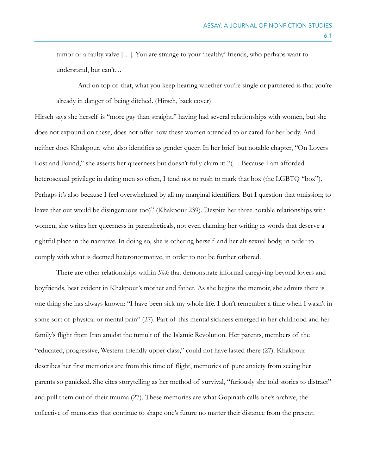tumor or a faulty valve […]. You are strange to your 'healthy' friends, who perhaps want to understand, but can't…

 And on top of that, what you keep hearing whether you're single or partnered is that you're already in danger of being ditched. (Hirsch, back cover)

Hirsch says she herself is "more gay than straight," having had several relationships with women, but she does not expound on these, does not offer how these women attended to or cared for her body. And neither does Khakpour, who also identifies as gender queer. In her brief but notable chapter, "On Lovers Lost and Found," she asserts her queerness but doesn't fully claim it: "(… Because I am afforded heterosexual privilege in dating men so often, I tend not to rush to mark that box (the LGBTQ "box"). Perhaps it's also because I feel overwhelmed by all my marginal identifiers. But I question that omission; to leave that out would be disingenuous too)" (Khakpour 239). Despite her three notable relationships with women, she writes her queerness in parentheticals, not even claiming her writing as words that deserve a rightful place in the narrative. In doing so, she is othering herself and her alt-sexual body, in order to comply with what is deemed heteronormative, in order to not be further othered.

 There are other relationships within *Sick* that demonstrate informal caregiving beyond lovers and boyfriends, best evident in Khakpour's mother and father. As she begins the memoir, she admits there is one thing she has always known: "I have been sick my whole life. I don't remember a time when I wasn't in some sort of physical or mental pain" (27). Part of this mental sickness emerged in her childhood and her family's flight from Iran amidst the tumult of the Islamic Revolution. Her parents, members of the "educated, progressive, Western-friendly upper class," could not have lasted there (27). Khakpour describes her first memories are from this time of flight, memories of pure anxiety from seeing her parents so panicked. She cites storytelling as her method of survival, "furiously she told stories to distract" and pull them out of their trauma (27). These memories are what Gopinath calls one's archive, the collective of memories that continue to shape one's future no matter their distance from the present.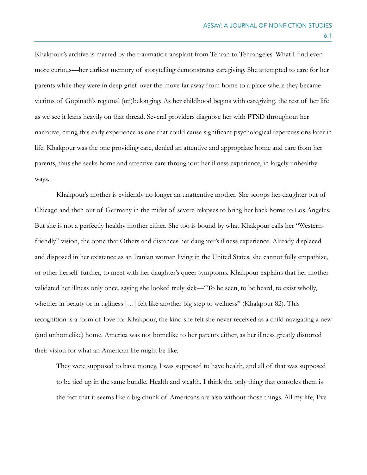Khakpour's archive is marred by the traumatic transplant from Tehran to Tehrangeles. What I find even more curious—her earliest memory of storytelling demonstrates caregiving. She attempted to care for her parents while they were in deep grief over the move far away from home to a place where they became victims of Gopinath's regional (un)belonging. As her childhood begins with caregiving, the rest of her life as we see it leans heavily on that thread. Several providers diagnose her with PTSD throughout her narrative, citing this early experience as one that could cause significant psychological repercussions later in life. Khakpour was the one providing care, denied an attentive and appropriate home and care from her parents, thus she seeks home and attentive care throughout her illness experience, in largely unhealthy ways.

 Khakpour's mother is evidently no longer an unattentive mother. She scoops her daughter out of Chicago and then out of Germany in the midst of severe relapses to bring her back home to Los Angeles. But she is not a perfectly healthy mother either. She too is bound by what Khakpour calls her "Westernfriendly" vision, the optic that Others and distances her daughter's illness experience. Already displaced and disposed in her existence as an Iranian woman living in the United States, she cannot fully empathize, or other herself further, to meet with her daughter's queer symptoms. Khakpour explains that her mother validated her illness only once, saying she looked truly sick—"To be seen, to be heard, to exist wholly, whether in beauty or in ugliness […] felt like another big step to wellness" (Khakpour 82). This recognition is a form of love for Khakpour, the kind she felt she never received as a child navigating a new (and unhomelike) home. America was not homelike to her parents either, as her illness greatly distorted their vision for what an American life might be like.

They were supposed to have money, I was supposed to have health, and all of that was supposed to be tied up in the same bundle. Health and wealth. I think the only thing that consoles them is the fact that it seems like a big chunk of Americans are also without those things. All my life, I've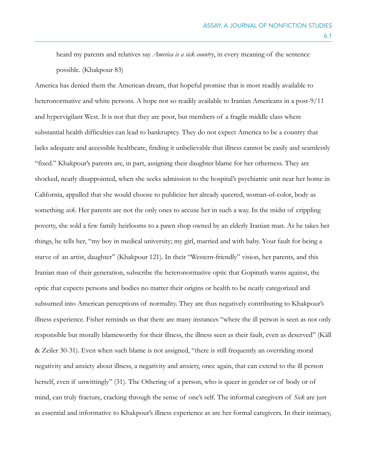heard my parents and relatives say *America is a sick country*, in every meaning of the sentence possible. (Khakpour 83)

America has denied them the American dream, that hopeful promise that is most readily available to heteronormative and white persons. A hope not so readily available to Iranian Americans in a post-9/11 and hypervigilant West. It is not that they are poor, but members of a fragile middle class where substantial health difficulties can lead to bankruptcy. They do not expect America to be a country that lacks adequate and accessible healthcare, finding it unbelievable that illness cannot be easily and seamlessly "fixed." Khakpour's parents are, in part, assigning their daughter blame for her otherness. They are shocked, nearly disappointed, when she seeks admission to the hospital's psychiatric unit near her home in California, appalled that she would choose to publicize her already queered, woman-of-color, body as something *sick*. Her parents are not the only ones to accuse her in such a way. In the midst of crippling poverty, she sold a few family heirlooms to a pawn shop owned by an elderly Iranian man. As he takes her things, he tells her, "my boy in medical university; my girl, married and with baby. Your fault for being a starve of an artist, daughter" (Khakpour 121). In their "Western-friendly" vision, her parents, and this Iranian man of their generation, subscribe the heteronormative optic that Gopinath warns against, the optic that expects persons and bodies no matter their origins or health to be neatly categorized and subsumed into American perceptions of normality. They are thus negatively contributing to Khakpour's illness experience. Fisher reminds us that there are many instances "where the ill person is seen as not only responsible but morally blameworthy for their illness, the illness seen as their fault, even as deserved" (Käll & Zeiler 30-31). Even when such blame is not assigned, "there is still frequently an overriding moral negativity and anxiety about illness, a negativity and anxiety, once again, that can extend to the ill person herself, even if unwittingly" (31). The Othering of a person, who is queer in gender or of body or of mind, can truly fracture, cracking through the sense of one's self. The informal caregivers of *Sick* are just as essential and informative to Khakpour's illness experience as are her formal caregivers. In their intimacy,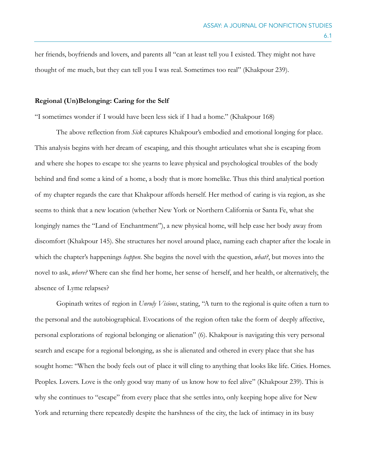her friends, boyfriends and lovers, and parents all "can at least tell you I existed. They might not have thought of me much, but they can tell you I was real. Sometimes too real" (Khakpour 239).

## **Regional (Un)Belonging: Caring for the Self**

"I sometimes wonder if I would have been less sick if I had a home." (Khakpour 168)

 The above reflection from *Sick* captures Khakpour's embodied and emotional longing for place. This analysis begins with her dream of escaping, and this thought articulates what she is escaping from and where she hopes to escape to: she yearns to leave physical and psychological troubles of the body behind and find some a kind of a home, a body that is more homelike. Thus this third analytical portion of my chapter regards the care that Khakpour affords herself. Her method of caring is via region, as she seems to think that a new location (whether New York or Northern California or Santa Fe, what she longingly names the "Land of Enchantment"), a new physical home, will help ease her body away from discomfort (Khakpour 145). She structures her novel around place, naming each chapter after the locale in which the chapter's happenings *happen*. She begins the novel with the question, *what?*, but moves into the novel to ask, *where?* Where can she find her home, her sense of herself, and her health, or alternatively, the absence of Lyme relapses?

Gopinath writes of region in *Unruly Visions*, stating, "A turn to the regional is quite often a turn to the personal and the autobiographical. Evocations of the region often take the form of deeply affective, personal explorations of regional belonging or alienation" (6). Khakpour is navigating this very personal search and escape for a regional belonging, as she is alienated and othered in every place that she has sought home: "When the body feels out of place it will cling to anything that looks like life. Cities. Homes. Peoples. Lovers. Love is the only good way many of us know how to feel alive" (Khakpour 239). This is why she continues to "escape" from every place that she settles into, only keeping hope alive for New York and returning there repeatedly despite the harshness of the city, the lack of intimacy in its busy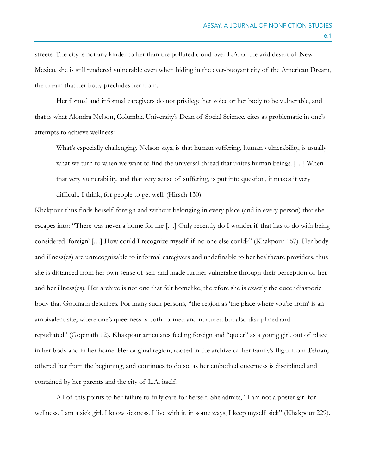streets. The city is not any kinder to her than the polluted cloud over L.A. or the arid desert of New Mexico, she is still rendered vulnerable even when hiding in the ever-buoyant city of the American Dream, the dream that her body precludes her from.

Her formal and informal caregivers do not privilege her voice or her body to be vulnerable, and that is what Alondra Nelson, Columbia University's Dean of Social Science, cites as problematic in one's attempts to achieve wellness:

What's especially challenging, Nelson says, is that human suffering, human vulnerability, is usually what we turn to when we want to find the universal thread that unites human beings. [...] When that very vulnerability, and that very sense of suffering, is put into question, it makes it very difficult, I think, for people to get well. (Hirsch 130)

Khakpour thus finds herself foreign and without belonging in every place (and in every person) that she escapes into: "There was never a home for me […] Only recently do I wonder if that has to do with being considered 'foreign' […] How could I recognize myself if no one else could?" (Khakpour 167). Her body and illness(es) are unrecognizable to informal caregivers and undefinable to her healthcare providers, thus she is distanced from her own sense of self and made further vulnerable through their perception of her and her illness(es). Her archive is not one that felt homelike, therefore she is exactly the queer diasporic body that Gopinath describes. For many such persons, "the region as 'the place where you're from' is an ambivalent site, where one's queerness is both formed and nurtured but also disciplined and repudiated" (Gopinath 12). Khakpour articulates feeling foreign and "queer" as a young girl, out of place in her body and in her home. Her original region, rooted in the archive of her family's flight from Tehran, othered her from the beginning, and continues to do so, as her embodied queerness is disciplined and contained by her parents and the city of L.A. itself.

All of this points to her failure to fully care for herself. She admits, "I am not a poster girl for wellness. I am a sick girl. I know sickness. I live with it, in some ways, I keep myself sick" (Khakpour 229).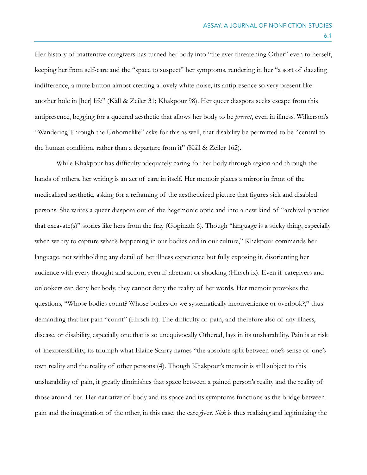Her history of inattentive caregivers has turned her body into "the ever threatening Other" even to herself, keeping her from self-care and the "space to suspect" her symptoms, rendering in her "a sort of dazzling indifference, a mute button almost creating a lovely white noise, its antipresence so very present like another hole in [her] life" (Käll & Zeiler 31; Khakpour 98). Her queer diaspora seeks escape from this antipresence, begging for a queered aesthetic that allows her body to be *present*, even in illness. Wilkerson's "Wandering Through the Unhomelike" asks for this as well, that disability be permitted to be "central to the human condition, rather than a departure from it" (Käll & Zeiler 162).

 While Khakpour has difficulty adequately caring for her body through region and through the hands of others, her writing is an act of care in itself. Her memoir places a mirror in front of the medicalized aesthetic, asking for a reframing of the aestheticized picture that figures sick and disabled persons. She writes a queer diaspora out of the hegemonic optic and into a new kind of "archival practice that excavate(s)" stories like hers from the fray (Gopinath 6). Though "language is a sticky thing, especially when we try to capture what's happening in our bodies and in our culture," Khakpour commands her language, not withholding any detail of her illness experience but fully exposing it, disorienting her audience with every thought and action, even if aberrant or shocking (Hirsch ix). Even if caregivers and onlookers can deny her body, they cannot deny the reality of her words. Her memoir provokes the questions, "Whose bodies count? Whose bodies do we systematically inconvenience or overlook?," thus demanding that her pain "count" (Hirsch ix). The difficulty of pain, and therefore also of any illness, disease, or disability, especially one that is so unequivocally Othered, lays in its unsharability. Pain is at risk of inexpressibility, its triumph what Elaine Scarry names "the absolute split between one's sense of one's own reality and the reality of other persons (4). Though Khakpour's memoir is still subject to this unsharability of pain, it greatly diminishes that space between a pained person's reality and the reality of those around her. Her narrative of body and its space and its symptoms functions as the bridge between pain and the imagination of the other, in this case, the caregiver. *Sick* is thus realizing and legitimizing the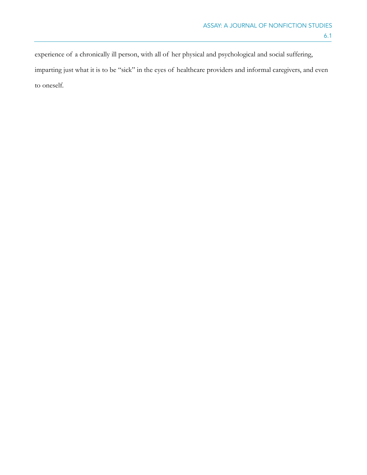experience of a chronically ill person, with all of her physical and psychological and social suffering, imparting just what it is to be "sick" in the eyes of healthcare providers and informal caregivers, and even to oneself.